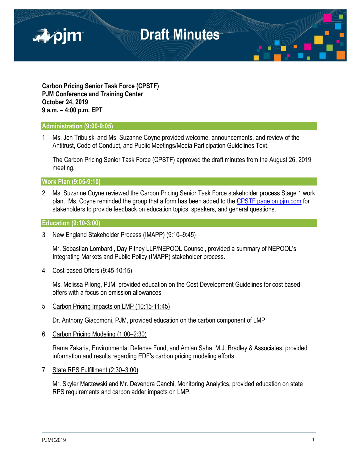

**Carbon Pricing Senior Task Force (CPSTF) PJM Conference and Training Center October 24, 2019 9 a.m. – 4:00 p.m. EPT**

### **Administration (9:00-9:05)**

1. Ms. Jen Tribulski and Ms. Suzanne Coyne provided welcome, announcements, and review of the Antitrust, Code of Conduct, and Public Meetings/Media Participation Guidelines Text.

The Carbon Pricing Senior Task Force (CPSTF) approved the draft minutes from the August 26, 2019 meeting.

**Work Plan (9:05-9:10)**

2. Ms. Suzanne Coyne reviewed the Carbon Pricing Senior Task Force stakeholder process Stage 1 work plan. Ms. Coyne reminded the group that a form has been added to the [CPSTF page on pjm.com](https://www.pjm.com/committees-and-groups/task-forces/cpstf.aspx) for stakeholders to provide feedback on education topics, speakers, and general questions.

### **Education (9:10-3:00)**

3. New England Stakeholder Process (IMAPP) (9:10–9:45)

Mr. Sebastian Lombardi, Day Pitney LLP/NEPOOL Counsel, provided a summary of NEPOOL's Integrating Markets and Public Policy (IMAPP) stakeholder process.

4. Cost-based Offers (9:45-10:15)

Ms. Melissa Pilong, PJM, provided education on the Cost Development Guidelines for cost based offers with a focus on emission allowances.

5. Carbon Pricing Impacts on LMP (10:15-11:45)

Dr. Anthony Giacomoni, PJM, provided education on the carbon component of LMP.

6. Carbon Pricing Modeling (1:00–2:30)

Rama Zakaria, Environmental Defense Fund, and Amlan Saha, M.J. Bradley & Associates, provided information and results regarding EDF's carbon pricing modeling efforts.

7. State RPS Fulfillment (2:30–3:00)

Mr. Skyler Marzewski and Mr. Devendra Canchi, Monitoring Analytics, provided education on state RPS requirements and carbon adder impacts on LMP.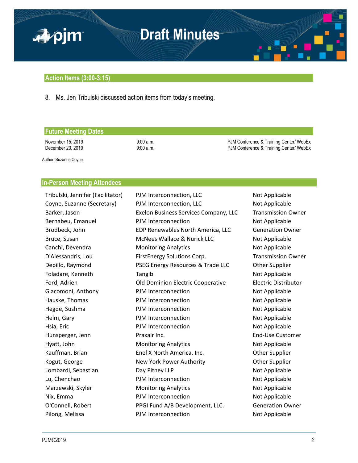

## **Action Items (3:00-3:15)**

8. Ms. Jen Tribulski discussed action items from today's meeting.

## **Future Meeting Dates**

November 15, 2019 9:00 a.m. 9:00 a.m.<br>December 20, 2019 9:00 a.m. 9:00 a.m. PJM Conference & Training Center/ WebEx 9:00 a.m. **PJM Conference & Training Center/ WebEx** 

Author: Suzanne Coyne

## **In-Person Meeting Attendees**

| Tribulski, Jennifer (Facilitator) | PJM Interconnection, LLC              | Not Applicable              |
|-----------------------------------|---------------------------------------|-----------------------------|
| Coyne, Suzanne (Secretary)        | PJM Interconnection, LLC              | Not Applicable              |
| Barker, Jason                     | Exelon Business Services Company, LLC | <b>Transmission Owner</b>   |
| Bernabeu, Emanuel                 | PJM Interconnection                   | Not Applicable              |
| Brodbeck, John                    | EDP Renewables North America, LLC     | <b>Generation Owner</b>     |
| Bruce, Susan                      | McNees Wallace & Nurick LLC           | Not Applicable              |
| Canchi, Devendra                  | <b>Monitoring Analytics</b>           | Not Applicable              |
| D'Alessandris, Lou                | FirstEnergy Solutions Corp.           | <b>Transmission Owner</b>   |
| Depillo, Raymond                  | PSEG Energy Resources & Trade LLC     | Other Supplier              |
| Foladare, Kenneth                 | Tangibl                               | Not Applicable              |
| Ford, Adrien                      | Old Dominion Electric Cooperative     | <b>Electric Distributor</b> |
| Giacomoni, Anthony                | PJM Interconnection                   | Not Applicable              |
| Hauske, Thomas                    | PJM Interconnection                   | Not Applicable              |
| Hegde, Sushma                     | PJM Interconnection                   | Not Applicable              |
| Helm, Gary                        | PJM Interconnection                   | Not Applicable              |
| Hsia, Eric                        | PJM Interconnection                   | Not Applicable              |
| Hunsperger, Jenn                  | Praxair Inc.                          | <b>End-Use Customer</b>     |
| Hyatt, John                       | <b>Monitoring Analytics</b>           | Not Applicable              |
| Kauffman, Brian                   | Enel X North America, Inc.            | Other Supplier              |
| Kogut, George                     | New York Power Authority              | Other Supplier              |
| Lombardi, Sebastian               | Day Pitney LLP                        | Not Applicable              |
| Lu, Chenchao                      | PJM Interconnection                   | Not Applicable              |
| Marzewski, Skyler                 | <b>Monitoring Analytics</b>           | Not Applicable              |
| Nix, Emma                         | PJM Interconnection                   | Not Applicable              |
| O'Connell, Robert                 | PPGI Fund A/B Development, LLC.       | <b>Generation Owner</b>     |
| Pilong, Melissa                   | PJM Interconnection                   | Not Applicable              |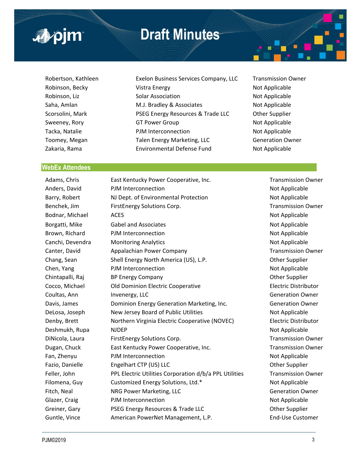

■pim

- Robertson, Kathleen Exelon Business Services Company, LLC Transmission Owner Robinson, Becky **Note 20** Vistra Energy Not Applicable Not Applicable Robinson, Liz **Solar Association** Not Applicable Not Applicable Saha, Amlan **M.J. Bradley & Associates** Not Applicable Scorsolini, Mark PSEG Energy Resources & Trade LLC Other Supplier Sweeney, Rory **GT Power Group CONDUCT And Applicable** Not Applicable Tacka, Natalie **Note Applicable** PJM Interconnection **Not Applicable** Toomey, Megan Talen Energy Marketing, LLC Generation Owner Zakaria, Rama Environmental Defense Fund Not Applicable
- 

### **WebEx Attendees**

Adams, Chris **East Kentucky Power Cooperative, Inc.** Transmission Owner Anders, David **PJM Interconnection** and the Not Applicable Not Applicable Barry, Robert MJ Dept. of Environmental Protection Not Applicable Benchek, Jim FirstEnergy Solutions Corp. Transmission Owner Bodnar, Michael ACES ACES ACES ACCOMENT ACCESSES AND ACCESSES AND APPLICAble RESOURCES AND ACCESSED ACCESSED ACCESSED AND ACCESSED ACCESSED ACCESSED ACCESSED ACCESSED ACCESSED ACCESSED AND ACCESSED ACCESSED ACCESSED ACCESS Borgatti, Mike Gabel and Associates Not Applicable Not Applicable Brown, Richard PJM Interconnection Not Applicable Canchi, Devendra Monitoring Analytics Not Applicable Not Applicable Canter, David Appalachian Power Company Transmission Owner Chang, Sean Shell Energy North America (US), L.P. Chang, Sean Other Supplier Chen, Yang PJM Interconnection Not Applicable Not Applicable Chintapalli, Raj BP Energy Company Chintapalli, Raj BP Energy Company Chintapalli, Raj BP Energy Company Cocco, Michael **Old Dominion Electric Cooperative Contact Cooperative** Electric Distributor Coultas, Ann Invenergy, LLC Coultas, Ann Invenergy, LLC Davis, James **Dominion Energy Generation Marketing, Inc.** Generation Owner DeLosa, Joseph New Jersey Board of Public Utilities Not Applicable Denby, Brett **Northern Virginia Electric Cooperative (NOVEC)** Electric Distributor Deshmukh, Rupa NJDEP Not Applicable Not Applicable DiNicola, Laura FirstEnergy Solutions Corp. Transmission Owner Dugan, Chuck **East Kentucky Power Cooperative, Inc.** Transmission Owner Fan, Zhenyu PJM Interconnection Not Applicable Fazio, Danielle Engelhart CTP (US) LLC CHEROTE Engelhart CTP (US) LLC Feller, John PPL Electric Utilities Corporation d/b/a PPL Utilities Transmission Owner Filomena, Guy Customized Energy Solutions, Ltd.\* The Mot Applicable Fitch, Neal **NRG Power Marketing, LLC NRG Power Marketing, LLC** Generation Owner Glazer, Craig **PJM Interconnection Connection** Not Applicable Greiner, Gary **PSEG Energy Resources & Trade LLC Constant Construction Construction** Guntle, Vince **American PowerNet Management, L.P.** End-Use Customer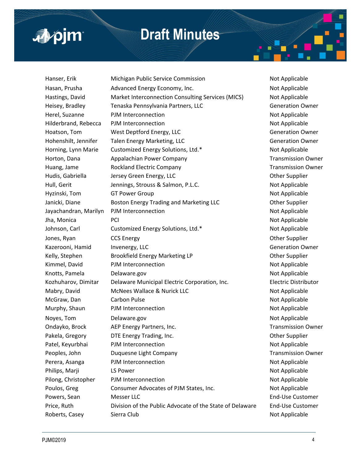

## **Draft Minutes**

Hanser, Erik **Michigan Public Service Commission** Not Applicable Hasan, Prusha **Advanced Energy Economy, Inc.** Not Applicable Hastings, David Market Interconnection Consulting Services (MICS) Not Applicable Heisey, Bradley **Tenaska Pennsylvania Partners, LLC** Chronic Generation Owner Herel, Suzanne **PJM Interconnection** Not Applicable Hilderbrand, Rebecca PJM Interconnection Not Applicable Hoatson, Tom West Deptford Energy, LLC Contract Contract Contraction Owner Hohenshilt, Jennifer Talen Energy Marketing, LLC **Generation Owner** Generation Owner Horning, Lynn Marie Customized Energy Solutions, Ltd.\* Not Applicable Horton, Dana **Appalachian Power Company Company** Transmission Owner Huang, Jame **Rockland Electric Company Rockland Electric Company Rockland Electric Company Transmission Owner** Hudis, Gabriella Jersey Green Energy, LLC **Channel Communist Contract Contract Contract Contract Contract Contract** Hull, Gerit **Figure 3. Inc. Accompany** Jennings, Strouss & Salmon, P.L.C. Not Applicable Hyzinski, Tom GT Power Group Not Applicable Not Applicable Janicki, Diane **Boston Energy Trading and Marketing LLC Energy Other Supplier** Jayachandran, Marilyn PJM Interconnection Not Applicable Not Applicable Jha, Monica PCI Not Applicable Johnson, Carl Customized Energy Solutions, Ltd.\* Not Applicable Jones, Ryan CCS Energy CCS Energy COMERCIAL CONSUMING CONSUMING CONSUMING CONSUMING CONSUMING CONSUMING CONSUMING CONSUMING CONSUMING CONSUMING CONSUMING CONSUMING CONSUMING CONSUMING CONSUMING CONSUMING CONSUMING CONSUMIN Kazerooni, Hamid Invenergy, LLC **Generation Communisties** Generation Owner Kelly, Stephen Brookfield Energy Marketing LP Channel Communist Communist Communist Communist Communist Communist Communist Communist Communist Communist Communist Communist Communist Communist Communist Communist Communis Kimmel, David **PJM Interconnection** Not Applicable Knotts, Pamela **Delaware.gov Not Applicable Not Applicable** Kozhuharov, Dimitar Delaware Municipal Electric Corporation, Inc. Electric Distributor Mabry, David **McNees Wallace & Nurick LLC** Not Applicable McGraw, Dan Carbon Pulse Not Applicable Not Applicable Murphy, Shaun PJM Interconnection **Not Applicable** Not Applicable Noyes, Tom **Delaware.gov** Not Applicable Not Applicable Ondayko, Brock AEP Energy Partners, Inc. Transmission Owner Pakela, Gregory **DTE Energy Trading, Inc. Example 2** Other Supplier Patel, Keyurbhai PJM Interconnection Not Applicable Peoples, John **Duquesne Light Company Company** Transmission Owner Perera, Asanga PJM Interconnection Not Applicable Philips, Marji **Republicable** LS Power Not Applicable Not Applicable Pilong, Christopher PJM Interconnection Not Applicable Not Applicable Poulos, Greg Consumer Advocates of PJM States, Inc. Not Applicable Powers, Sean Messer LLC **Messer LLC End-Use Customer** Messer LLC Price, Ruth Division of the Public Advocate of the State of Delaware End-Use Customer Roberts, Casey Sierra Club Not Applicable Not Applicable